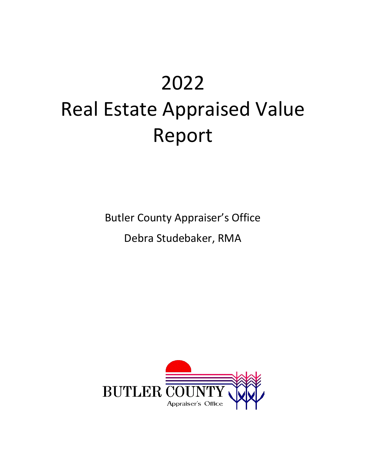# 2022 Real Estate Appraised Value Report

Butler County Appraiser's Office

Debra Studebaker, RMA

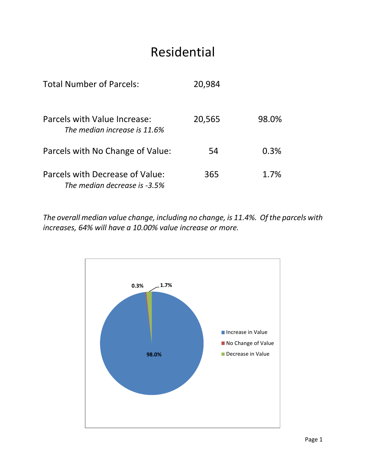# Residential

| <b>Total Number of Parcels:</b>                                 | 20,984 |       |
|-----------------------------------------------------------------|--------|-------|
| Parcels with Value Increase:<br>The median increase is 11.6%    | 20,565 | 98.0% |
| Parcels with No Change of Value:                                | 54     | 0.3%  |
| Parcels with Decrease of Value:<br>The median decrease is -3.5% | 365    | 1.7%  |

*The overall median value change, including no change, is 11.4%. Of the parcels with increases, 64% will have a 10.00% value increase or more.*

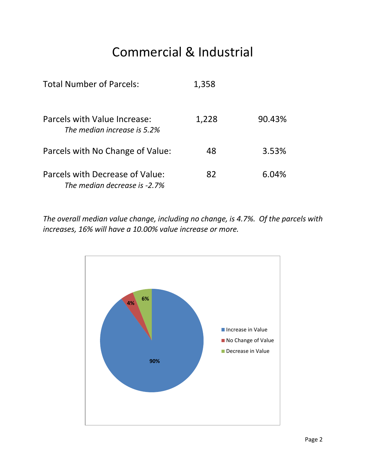# Commercial & Industrial

| <b>Total Number of Parcels:</b>                                 | 1,358 |        |  |  |
|-----------------------------------------------------------------|-------|--------|--|--|
| Parcels with Value Increase:<br>The median increase is 5.2%     | 1,228 | 90.43% |  |  |
| Parcels with No Change of Value:                                | 48    | 3.53%  |  |  |
| Parcels with Decrease of Value:<br>The median decrease is -2.7% | 82    | 6.04%  |  |  |

*The overall median value change, including no change, is 4.7%. Of the parcels with increases, 16% will have a 10.00% value increase or more.*

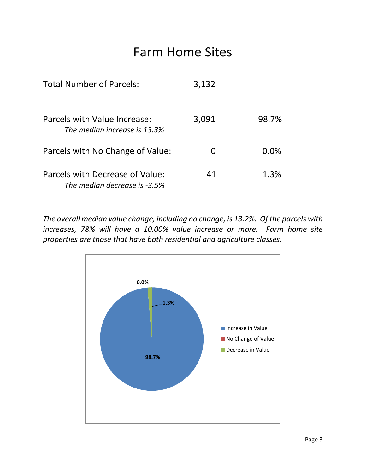#### Farm Home Sites

| <b>Total Number of Parcels:</b>                                 | 3,132        |         |
|-----------------------------------------------------------------|--------------|---------|
| Parcels with Value Increase:<br>The median increase is 13.3%    | 3,091        | 98.7%   |
| Parcels with No Change of Value:                                | $\mathbf{I}$ | $0.0\%$ |
| Parcels with Decrease of Value:<br>The median decrease is -3.5% | 41           | 1.3%    |

*The overall median value change, including no change, is 13.2%. Of the parcels with increases, 78% will have a 10.00% value increase or more. Farm home site properties are those that have both residential and agriculture classes.*

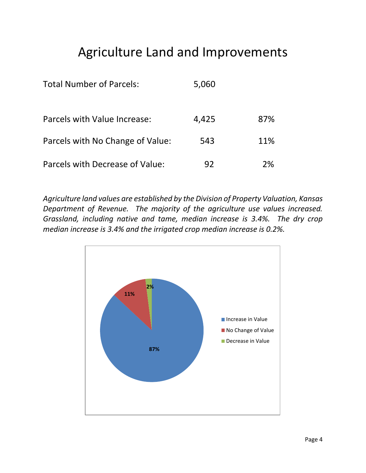# Agriculture Land and Improvements

| <b>Total Number of Parcels:</b>  | 5,060 |     |
|----------------------------------|-------|-----|
| Parcels with Value Increase:     | 4,425 | 87% |
| Parcels with No Change of Value: | 543   | 11% |
| Parcels with Decrease of Value:  | 92    | ን%ି |

*Agriculture land values are established by the Division of Property Valuation, Kansas Department of Revenue. The majority of the agriculture use values increased. Grassland, including native and tame, median increase is 3.4%. The dry crop median increase is 3.4% and the irrigated crop median increase is 0.2%.*

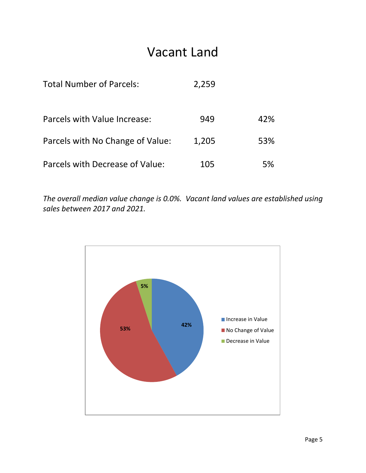#### Vacant Land

| <b>Total Number of Parcels:</b>  | 2,259 |     |
|----------------------------------|-------|-----|
| Parcels with Value Increase:     | 949   | 42% |
| Parcels with No Change of Value: | 1,205 | 53% |
| Parcels with Decrease of Value:  | 105   | 5%  |

*The overall median value change is 0.0%. Vacant land values are established using sales between 2017 and 2021.*

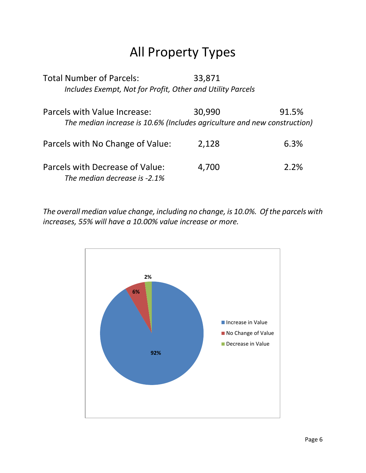# All Property Types

| <b>Total Number of Parcels:</b>                                          | 33,871 |       |
|--------------------------------------------------------------------------|--------|-------|
| Includes Exempt, Not for Profit, Other and Utility Parcels               |        |       |
| Parcels with Value Increase:                                             | 30,990 | 91.5% |
| The median increase is 10.6% (Includes agriculture and new construction) |        |       |
| Parcels with No Change of Value:                                         | 2,128  | 6.3%  |
| Parcels with Decrease of Value:<br>The median decrease is -2.1%          | 4,700  | 2.2%  |

*The overall median value change, including no change, is 10.0%. Of the parcels with increases, 55% will have a 10.00% value increase or more.*

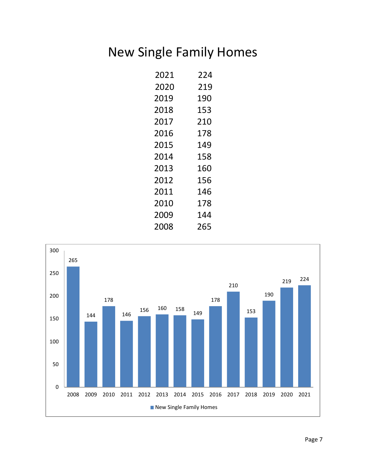# New Single Family Homes

| 2021 | 224 |
|------|-----|
| 2020 | 219 |
| 2019 | 190 |
| 2018 | 153 |
| 2017 | 210 |
| 2016 | 178 |
| 2015 | 149 |
| 2014 | 158 |
| 2013 | 160 |
| 2012 | 156 |
| 2011 | 146 |
| 2010 | 178 |
| 2009 | 144 |
| 2008 | 265 |

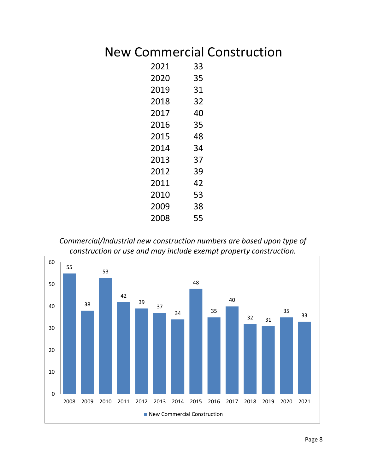# New Commercial Construction

| 2021 | 33 |
|------|----|
| 2020 | 35 |
| 2019 | 31 |
| 2018 | 32 |
| 2017 | 40 |
| 2016 | 35 |
| 2015 | 48 |
| 2014 | 34 |
| 2013 | 37 |
| 2012 | 39 |
| 2011 | 42 |
| 2010 | 53 |
| 2009 | 38 |
| 2008 | 55 |

*Commercial/Industrial new construction numbers are based upon type of construction or use and may include exempt property construction.*

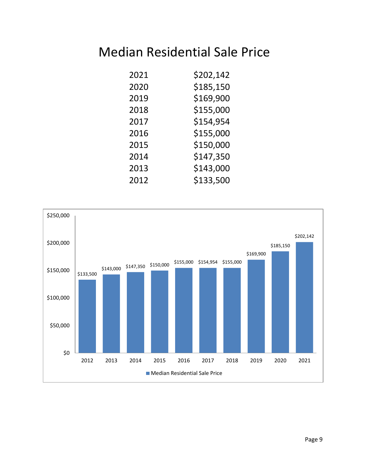#### Median Residential Sale Price

| 2021 | \$202,142 |
|------|-----------|
| 2020 | \$185,150 |
| 2019 | \$169,900 |
| 2018 | \$155,000 |
| 2017 | \$154,954 |
| 2016 | \$155,000 |
| 2015 | \$150,000 |
| 2014 | \$147,350 |
| 2013 | \$143,000 |
| 2012 | \$133,500 |